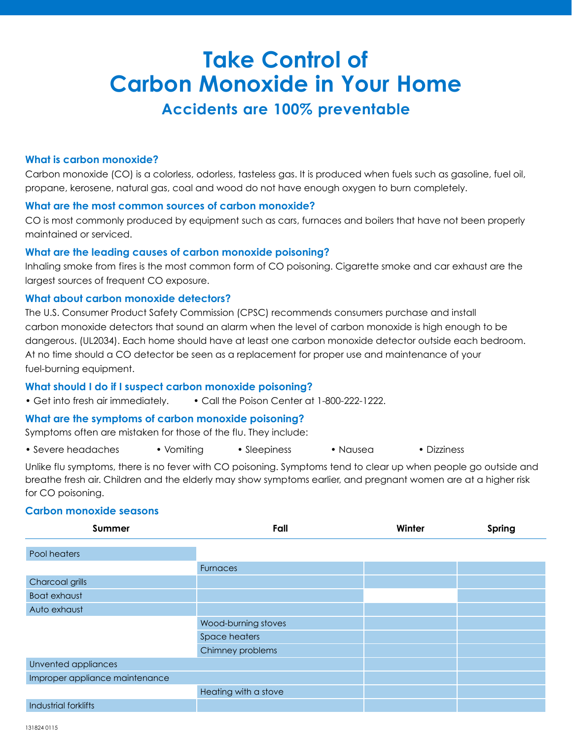# **Take Control of Carbon Monoxide in Your Home Accidents are 100% preventable**

#### **What is carbon monoxide?**

Carbon monoxide (CO) is a colorless, odorless, tasteless gas. It is produced when fuels such as gasoline, fuel oil, propane, kerosene, natural gas, coal and wood do not have enough oxygen to burn completely.

#### **What are the most common sources of carbon monoxide?**

CO is most commonly produced by equipment such as cars, furnaces and boilers that have not been properly maintained or serviced.

#### **What are the leading causes of carbon monoxide poisoning?**

Inhaling smoke from fires is the most common form of CO poisoning. Cigarette smoke and car exhaust are the largest sources of frequent CO exposure.

#### **What about carbon monoxide detectors?**

The U.S. Consumer Product Safety Commission (CPSC) recommends consumers purchase and install carbon monoxide detectors that sound an alarm when the level of carbon monoxide is high enough to be dangerous. (UL2034). Each home should have at least one carbon monoxide detector outside each bedroom. At no time should a CO detector be seen as a replacement for proper use and maintenance of your fuel-burning equipment.

#### **What should I do if I suspect carbon monoxide poisoning?**

• Get into fresh air immediately. • Call the Poison Center at 1-800-222-1222.

#### **What are the symptoms of carbon monoxide poisoning?**

Symptoms often are mistaken for those of the flu. They include:

• Severe headaches • Vomiting • Sleepiness • Nausea • Dizziness

Unlike flu symptoms, there is no fever with CO poisoning. Symptoms tend to clear up when people go outside and breathe fresh air. Children and the elderly may show symptoms earlier, and pregnant women are at a higher risk for CO poisoning.

# **Carbon monoxide seasons**

| Summer                         | Fall                 | Winter | Spring |
|--------------------------------|----------------------|--------|--------|
|                                |                      |        |        |
| Pool heaters                   |                      |        |        |
|                                | <b>Furnaces</b>      |        |        |
| Charcoal grills                |                      |        |        |
| <b>Boat exhaust</b>            |                      |        |        |
| Auto exhaust                   |                      |        |        |
|                                | Wood-burning stoves  |        |        |
|                                | Space heaters        |        |        |
|                                | Chimney problems     |        |        |
| Unvented appliances            |                      |        |        |
| Improper appliance maintenance |                      |        |        |
|                                | Heating with a stove |        |        |
| Industrial forklifts           |                      |        |        |